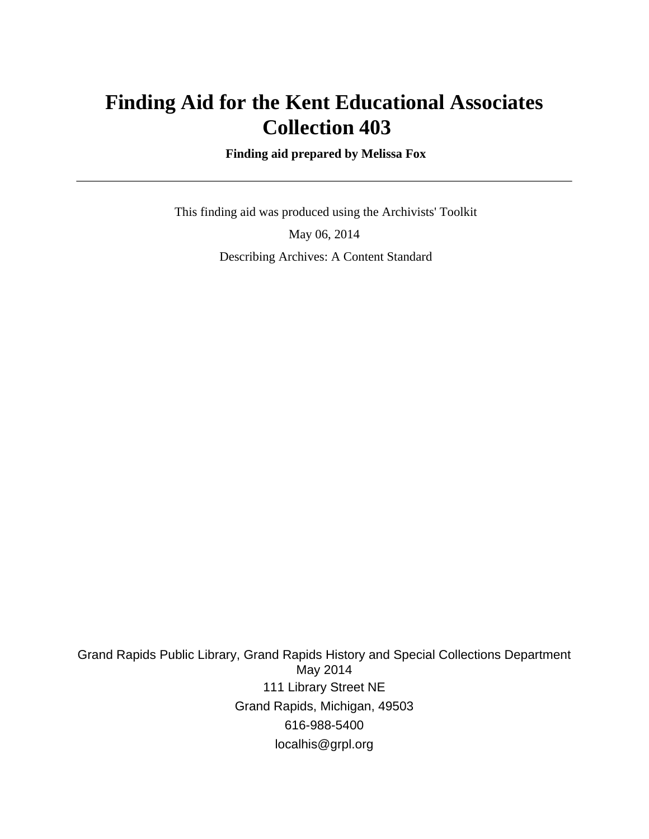# **Finding Aid for the Kent Educational Associates Collection 403**

 **Finding aid prepared by Melissa Fox**

 This finding aid was produced using the Archivists' Toolkit May 06, 2014 Describing Archives: A Content Standard

Grand Rapids Public Library, Grand Rapids History and Special Collections Department May 2014 111 Library Street NE Grand Rapids, Michigan, 49503 616-988-5400 localhis@grpl.org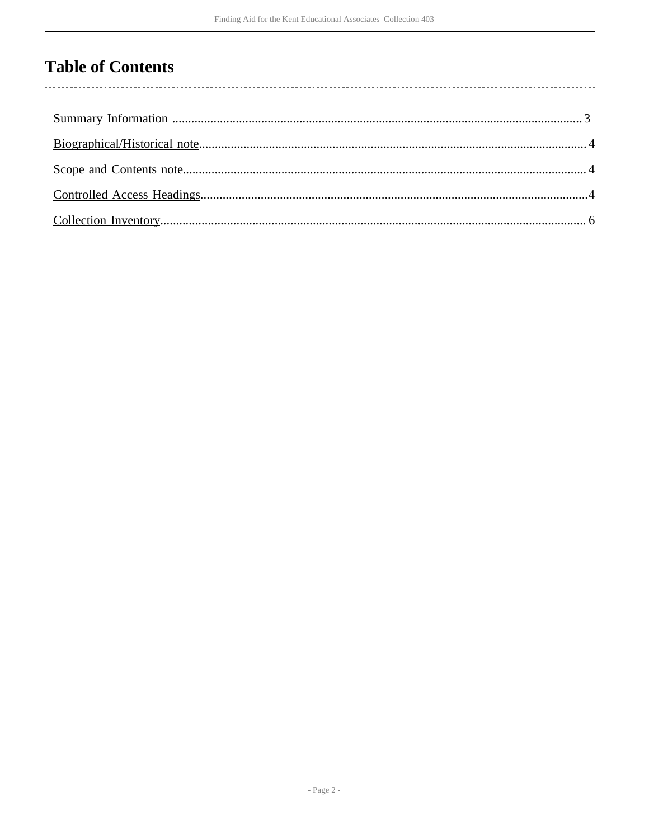# **Table of Contents**

l,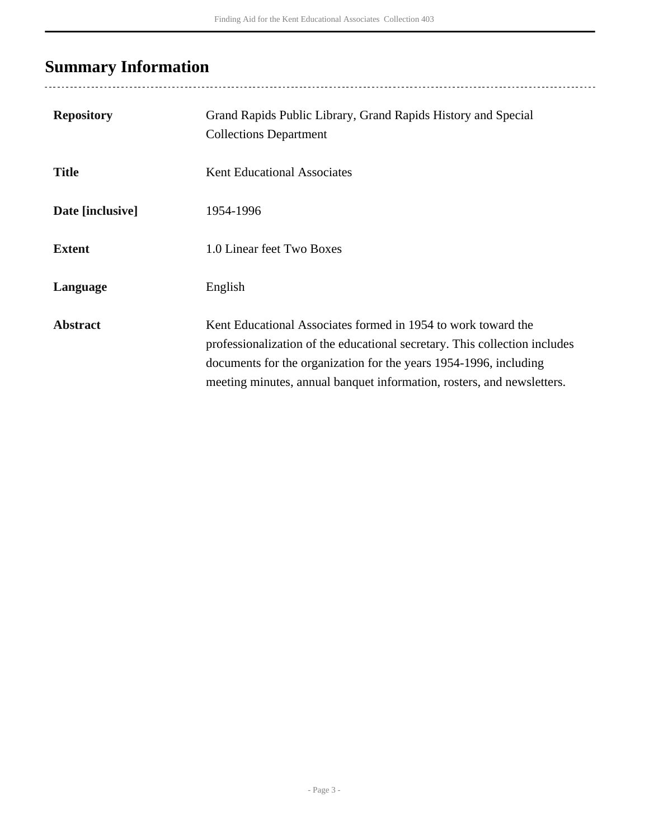# <span id="page-2-0"></span>**Summary Information**

| <b>Repository</b> | Grand Rapids Public Library, Grand Rapids History and Special<br><b>Collections Department</b>                                                                                                                                                                                             |
|-------------------|--------------------------------------------------------------------------------------------------------------------------------------------------------------------------------------------------------------------------------------------------------------------------------------------|
| <b>Title</b>      | <b>Kent Educational Associates</b>                                                                                                                                                                                                                                                         |
| Date [inclusive]  | 1954-1996                                                                                                                                                                                                                                                                                  |
| <b>Extent</b>     | 1.0 Linear feet Two Boxes                                                                                                                                                                                                                                                                  |
| Language          | English                                                                                                                                                                                                                                                                                    |
| <b>Abstract</b>   | Kent Educational Associates formed in 1954 to work toward the<br>professionalization of the educational secretary. This collection includes<br>documents for the organization for the years 1954-1996, including<br>meeting minutes, annual banquet information, rosters, and newsletters. |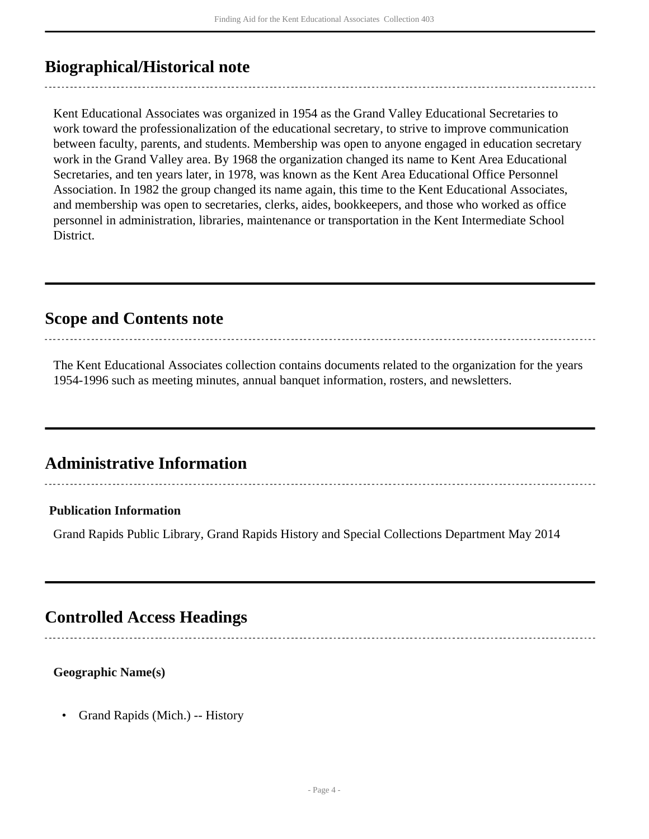## <span id="page-3-0"></span>**Biographical/Historical note**

Kent Educational Associates was organized in 1954 as the Grand Valley Educational Secretaries to work toward the professionalization of the educational secretary, to strive to improve communication between faculty, parents, and students. Membership was open to anyone engaged in education secretary work in the Grand Valley area. By 1968 the organization changed its name to Kent Area Educational Secretaries, and ten years later, in 1978, was known as the Kent Area Educational Office Personnel Association. In 1982 the group changed its name again, this time to the Kent Educational Associates, and membership was open to secretaries, clerks, aides, bookkeepers, and those who worked as office personnel in administration, libraries, maintenance or transportation in the Kent Intermediate School District.

### <span id="page-3-1"></span>**Scope and Contents note**

The Kent Educational Associates collection contains documents related to the organization for the years 1954-1996 such as meeting minutes, annual banquet information, rosters, and newsletters.

## **Administrative Information**

#### **Publication Information**

Grand Rapids Public Library, Grand Rapids History and Special Collections Department May 2014

## <span id="page-3-2"></span>**Controlled Access Headings**

#### **Geographic Name(s)**

• Grand Rapids (Mich.) -- History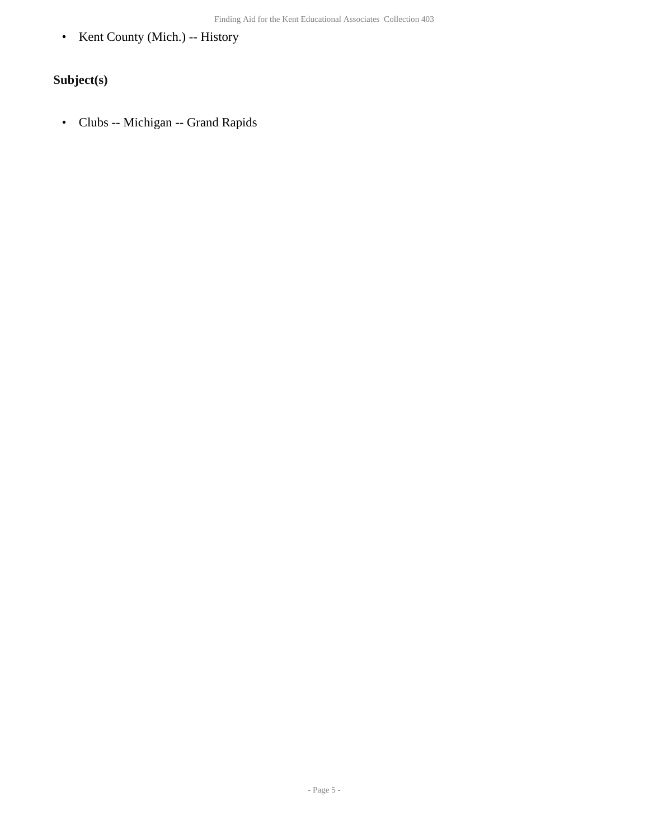• Kent County (Mich.) -- History

### **Subject(s)**

• Clubs -- Michigan -- Grand Rapids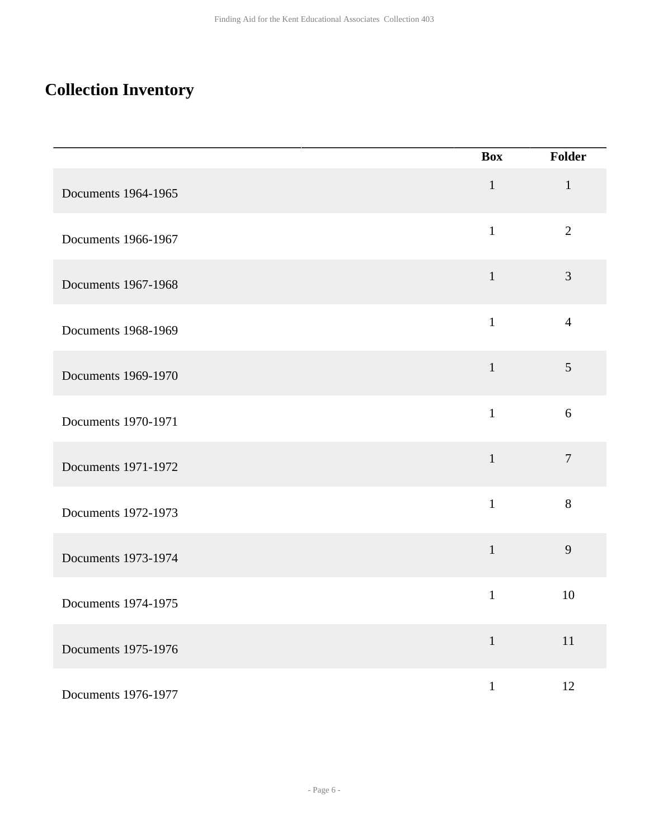## <span id="page-5-0"></span>**Collection Inventory**

|                     | <b>Box</b>   | Folder         |
|---------------------|--------------|----------------|
| Documents 1964-1965 | $\mathbf{1}$ | $\mathbf{1}$   |
| Documents 1966-1967 | $\mathbf{1}$ | $\overline{2}$ |
| Documents 1967-1968 | $\mathbf{1}$ | 3              |
| Documents 1968-1969 | $\mathbf{1}$ | $\overline{4}$ |
| Documents 1969-1970 | $\mathbf{1}$ | 5              |
| Documents 1970-1971 | $\mathbf{1}$ | 6              |
| Documents 1971-1972 | $\mathbf{1}$ | $\overline{7}$ |
| Documents 1972-1973 | $\mathbf{1}$ | 8              |
| Documents 1973-1974 | $\mathbf{1}$ | 9              |
| Documents 1974-1975 | $\mathbf{1}$ | 10             |
| Documents 1975-1976 | $\mathbf{1}$ | $11\,$         |
| Documents 1976-1977 | $\mathbf{1}$ | 12             |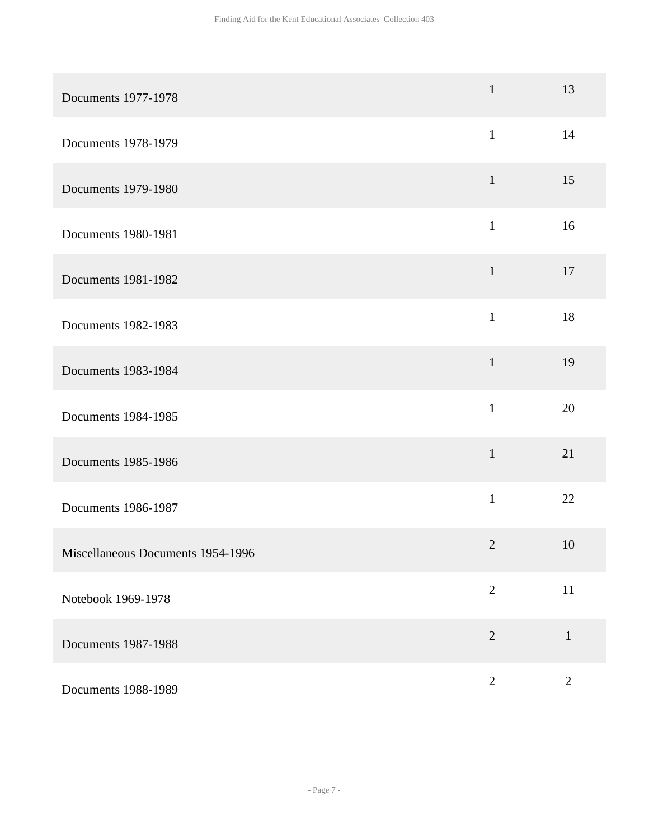| Documents 1977-1978               | $\mathbf 1$    | 13           |
|-----------------------------------|----------------|--------------|
| Documents 1978-1979               | $\mathbf{1}$   | 14           |
| Documents 1979-1980               | $\mathbf{1}$   | 15           |
| Documents 1980-1981               | $\mathbf{1}$   | 16           |
| Documents 1981-1982               | $\mathbf{1}$   | 17           |
| Documents 1982-1983               | $\mathbf{1}$   | 18           |
| Documents 1983-1984               | $\mathbf{1}$   | 19           |
| Documents 1984-1985               | $\mathbf{1}$   | 20           |
| Documents 1985-1986               | $\mathbf{1}$   | 21           |
| Documents 1986-1987               | $\mathbf{1}$   | 22           |
| Miscellaneous Documents 1954-1996 | $\mathbf{2}$   | 10           |
| Notebook 1969-1978                | $\overline{2}$ | 11           |
| Documents 1987-1988               | $\overline{2}$ | $\mathbf{1}$ |
| Documents 1988-1989               | $\sqrt{2}$     | $\sqrt{2}$   |